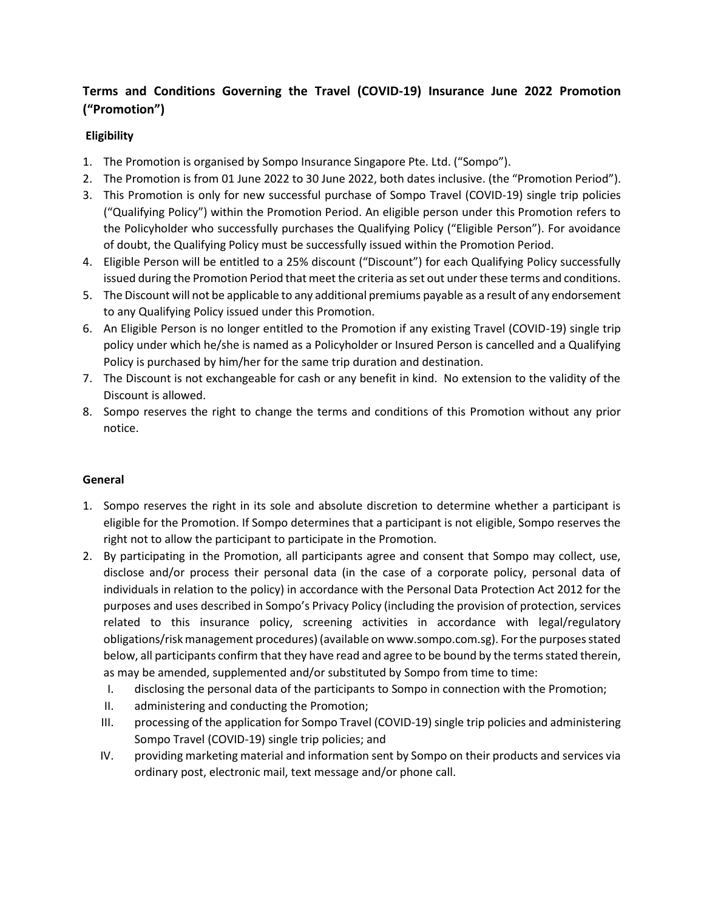## **Terms and Conditions Governing the Travel (COVID-19) Insurance June 2022 Promotion ("Promotion")**

## **Eligibility**

- 1. The Promotion is organised by Sompo Insurance Singapore Pte. Ltd. ("Sompo").
- 2. The Promotion is from 01 June 2022 to 30 June 2022, both dates inclusive. (the "Promotion Period").
- 3. This Promotion is only for new successful purchase of Sompo Travel (COVID-19) single trip policies ("Qualifying Policy") within the Promotion Period. An eligible person under this Promotion refers to the Policyholder who successfully purchases the Qualifying Policy ("Eligible Person"). For avoidance of doubt, the Qualifying Policy must be successfully issued within the Promotion Period.
- 4. Eligible Person will be entitled to a 25% discount ("Discount") for each Qualifying Policy successfully issued during the Promotion Period that meet the criteria as set out under these terms and conditions.
- 5. The Discount will not be applicable to any additional premiums payable as a result of any endorsement to any Qualifying Policy issued under this Promotion.
- 6. An Eligible Person is no longer entitled to the Promotion if any existing Travel (COVID-19) single trip policy under which he/she is named as a Policyholder or Insured Person is cancelled and a Qualifying Policy is purchased by him/her for the same trip duration and destination.
- 7. The Discount is not exchangeable for cash or any benefit in kind. No extension to the validity of the Discount is allowed.
- 8. Sompo reserves the right to change the terms and conditions of this Promotion without any prior notice.

## **General**

- 1. Sompo reserves the right in its sole and absolute discretion to determine whether a participant is eligible for the Promotion. If Sompo determines that a participant is not eligible, Sompo reserves the right not to allow the participant to participate in the Promotion.
- 2. By participating in the Promotion, all participants agree and consent that Sompo may collect, use, disclose and/or process their personal data (in the case of a corporate policy, personal data of individuals in relation to the policy) in accordance with the Personal Data Protection Act 2012 for the purposes and uses described in Sompo's Privacy Policy (including the provision of protection, services related to this insurance policy, screening activities in accordance with legal/regulatory obligations/risk management procedures) (available on www.sompo.com.sg). For the purposes stated below, all participants confirm that they have read and agree to be bound by the terms stated therein, as may be amended, supplemented and/or substituted by Sompo from time to time:
	- I. disclosing the personal data of the participants to Sompo in connection with the Promotion;
	- II. administering and conducting the Promotion;
	- III. processing of the application for Sompo Travel (COVID-19) single trip policies and administering Sompo Travel (COVID-19) single trip policies; and
	- IV. providing marketing material and information sent by Sompo on their products and services via ordinary post, electronic mail, text message and/or phone call.